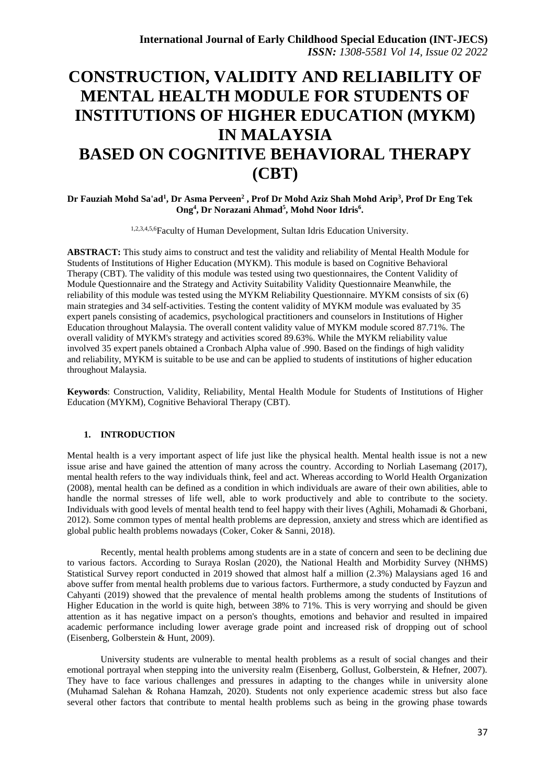# **CONSTRUCTION, VALIDITY AND RELIABILITY OF MENTAL HEALTH MODULE FOR STUDENTS OF INSTITUTIONS OF HIGHER EDUCATION (MYKM) IN MALAYSIA BASED ON COGNITIVE BEHAVIORAL THERAPY (CBT)**

**Dr Fauziah Mohd Sa'ad<sup>1</sup> , Dr Asma Perveen<sup>2</sup> , Prof Dr Mohd Aziz Shah Mohd Arip<sup>3</sup> , Prof Dr Eng Tek Ong<sup>4</sup> , Dr Norazani Ahmad<sup>5</sup> , Mohd Noor Idris<sup>6</sup> .**

1,2,3,4,5,6Faculty of Human Development, Sultan Idris Education University.

**ABSTRACT:** This study aims to construct and test the validity and reliability of Mental Health Module for Students of Institutions of Higher Education (MYKM). This module is based on Cognitive Behavioral Therapy (CBT). The validity of this module was tested using two questionnaires, the Content Validity of Module Questionnaire and the Strategy and Activity Suitability Validity Questionnaire Meanwhile, the reliability of this module was tested using the MYKM Reliability Questionnaire. MYKM consists of six (6) main strategies and 34 self-activities. Testing the content validity of MYKM module was evaluated by 35 expert panels consisting of academics, psychological practitioners and counselors in Institutions of Higher Education throughout Malaysia. The overall content validity value of MYKM module scored 87.71%. The overall validity of MYKM's strategy and activities scored 89.63%. While the MYKM reliability value involved 35 expert panels obtained a Cronbach Alpha value of .990. Based on the findings of high validity and reliability, MYKM is suitable to be use and can be applied to students of institutions of higher education throughout Malaysia.

**Keywords**: Construction, Validity, Reliability, Mental Health Module for Students of Institutions of Higher Education (MYKM), Cognitive Behavioral Therapy (CBT).

#### **1. INTRODUCTION**

Mental health is a very important aspect of life just like the physical health. Mental health issue is not a new issue arise and have gained the attention of many across the country. According to Norliah Lasemang (2017), mental health refers to the way individuals think, feel and act. Whereas according to World Health Organization (2008), mental health can be defined as a condition in which individuals are aware of their own abilities, able to handle the normal stresses of life well, able to work productively and able to contribute to the society. Individuals with good levels of mental health tend to feel happy with their lives (Aghili, Mohamadi & Ghorbani, 2012). Some common types of mental health problems are depression, anxiety and stress which are identified as global public health problems nowadays (Coker, Coker & Sanni, 2018).

Recently, mental health problems among students are in a state of concern and seen to be declining due to various factors. According to Suraya Roslan (2020), the National Health and Morbidity Survey (NHMS) Statistical Survey report conducted in 2019 showed that almost half a million (2.3%) Malaysians aged 16 and above suffer from mental health problems due to various factors. Furthermore, a study conducted by Fayzun and Cahyanti (2019) showed that the prevalence of mental health problems among the students of Institutions of Higher Education in the world is quite high, between 38% to 71%. This is very worrying and should be given attention as it has negative impact on a person's thoughts, emotions and behavior and resulted in impaired academic performance including lower average grade point and increased risk of dropping out of school (Eisenberg, Golberstein & Hunt, 2009).

University students are vulnerable to mental health problems as a result of social changes and their emotional portrayal when stepping into the university realm (Eisenberg, Gollust, Golberstein, & Hefner, 2007). They have to face various challenges and pressures in adapting to the changes while in university alone (Muhamad Salehan & Rohana Hamzah, 2020). Students not only experience academic stress but also face several other factors that contribute to mental health problems such as being in the growing phase towards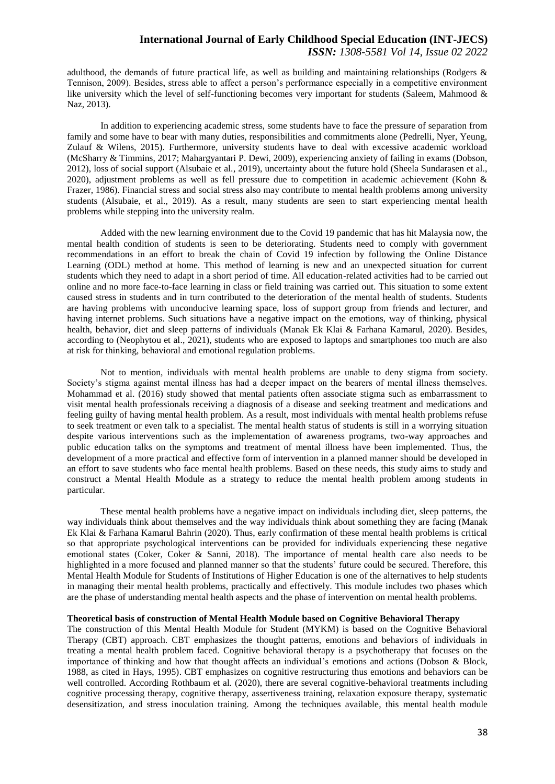adulthood, the demands of future practical life, as well as building and maintaining relationships (Rodgers & Tennison, 2009). Besides, stress able to affect a person's performance especially in a competitive environment like university which the level of self-functioning becomes very important for students (Saleem, Mahmood & Naz, 2013).

In addition to experiencing academic stress, some students have to face the pressure of separation from family and some have to bear with many duties, responsibilities and commitments alone (Pedrelli, Nyer, Yeung, Zulauf & Wilens, 2015). Furthermore, university students have to deal with excessive academic workload (McSharry & Timmins, 2017; Mahargyantari P. Dewi, 2009), experiencing anxiety of failing in exams (Dobson, 2012), loss of social support (Alsubaie et al., 2019), uncertainty about the future hold (Sheela Sundarasen et al., 2020), adjustment problems as well as fell pressure due to competition in academic achievement (Kohn & Frazer, 1986). Financial stress and social stress also may contribute to mental health problems among university students (Alsubaie, et al., 2019). As a result, many students are seen to start experiencing mental health problems while stepping into the university realm.

Added with the new learning environment due to the Covid 19 pandemic that has hit Malaysia now, the mental health condition of students is seen to be deteriorating. Students need to comply with government recommendations in an effort to break the chain of Covid 19 infection by following the Online Distance Learning (ODL) method at home. This method of learning is new and an unexpected situation for current students which they need to adapt in a short period of time. All education-related activities had to be carried out online and no more face-to-face learning in class or field training was carried out. This situation to some extent caused stress in students and in turn contributed to the deterioration of the mental health of students. Students are having problems with unconducive learning space, loss of support group from friends and lecturer, and having internet problems. Such situations have a negative impact on the emotions, way of thinking, physical health, behavior, diet and sleep patterns of individuals (Manak Ek Klai & Farhana Kamarul, 2020). Besides, according to (Neophytou et al., 2021), students who are exposed to laptops and smartphones too much are also at risk for thinking, behavioral and emotional regulation problems.

Not to mention, individuals with mental health problems are unable to deny stigma from society. Society's stigma against mental illness has had a deeper impact on the bearers of mental illness themselves. Mohammad et al. (2016) study showed that mental patients often associate stigma such as embarrassment to visit mental health professionals receiving a diagnosis of a disease and seeking treatment and medications and feeling guilty of having mental health problem. As a result, most individuals with mental health problems refuse to seek treatment or even talk to a specialist. The mental health status of students is still in a worrying situation despite various interventions such as the implementation of awareness programs, two-way approaches and public education talks on the symptoms and treatment of mental illness have been implemented. Thus, the development of a more practical and effective form of intervention in a planned manner should be developed in an effort to save students who face mental health problems. Based on these needs, this study aims to study and construct a Mental Health Module as a strategy to reduce the mental health problem among students in particular.

These mental health problems have a negative impact on individuals including diet, sleep patterns, the way individuals think about themselves and the way individuals think about something they are facing (Manak Ek Klai & Farhana Kamarul Bahrin (2020). Thus, early confirmation of these mental health problems is critical so that appropriate psychological interventions can be provided for individuals experiencing these negative emotional states (Coker, Coker & Sanni, 2018). The importance of mental health care also needs to be highlighted in a more focused and planned manner so that the students' future could be secured. Therefore, this Mental Health Module for Students of Institutions of Higher Education is one of the alternatives to help students in managing their mental health problems, practically and effectively. This module includes two phases which are the phase of understanding mental health aspects and the phase of intervention on mental health problems.

#### **Theoretical basis of construction of Mental Health Module based on Cognitive Behavioral Therapy**

The construction of this Mental Health Module for Student (MYKM) is based on the Cognitive Behavioral Therapy (CBT) approach. CBT emphasizes the thought patterns, emotions and behaviors of individuals in treating a mental health problem faced. Cognitive behavioral therapy is a psychotherapy that focuses on the importance of thinking and how that thought affects an individual's emotions and actions (Dobson & Block, 1988, as cited in Hays, 1995). CBT emphasizes on cognitive restructuring thus emotions and behaviors can be well controlled. According Rothbaum et al. (2020), there are several cognitive-behavioral treatments including cognitive processing therapy, cognitive therapy, assertiveness training, relaxation exposure therapy, systematic desensitization, and stress inoculation training. Among the techniques available, this mental health module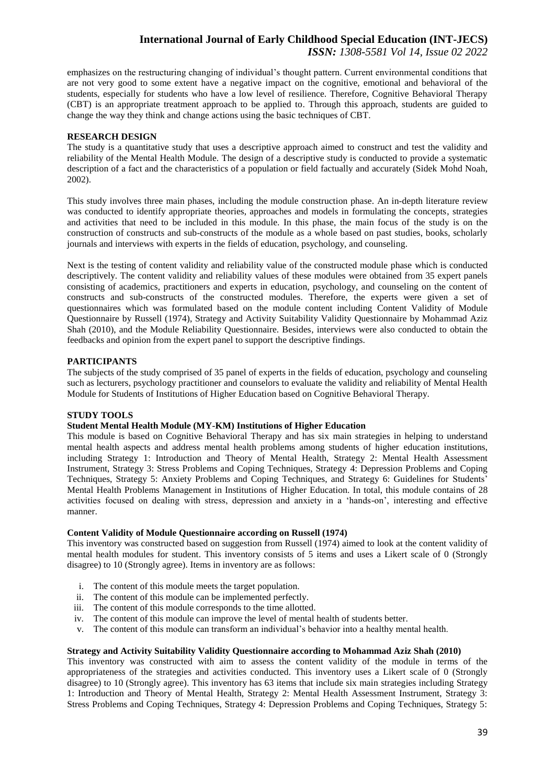emphasizes on the restructuring changing of individual's thought pattern. Current environmental conditions that are not very good to some extent have a negative impact on the cognitive, emotional and behavioral of the students, especially for students who have a low level of resilience. Therefore, Cognitive Behavioral Therapy (CBT) is an appropriate treatment approach to be applied to. Through this approach, students are guided to change the way they think and change actions using the basic techniques of CBT.

#### **RESEARCH DESIGN**

The study is a quantitative study that uses a descriptive approach aimed to construct and test the validity and reliability of the Mental Health Module. The design of a descriptive study is conducted to provide a systematic description of a fact and the characteristics of a population or field factually and accurately (Sidek Mohd Noah, 2002).

This study involves three main phases, including the module construction phase. An in-depth literature review was conducted to identify appropriate theories, approaches and models in formulating the concepts, strategies and activities that need to be included in this module. In this phase, the main focus of the study is on the construction of constructs and sub-constructs of the module as a whole based on past studies, books, scholarly journals and interviews with experts in the fields of education, psychology, and counseling.

Next is the testing of content validity and reliability value of the constructed module phase which is conducted descriptively. The content validity and reliability values of these modules were obtained from 35 expert panels consisting of academics, practitioners and experts in education, psychology, and counseling on the content of constructs and sub-constructs of the constructed modules. Therefore, the experts were given a set of questionnaires which was formulated based on the module content including Content Validity of Module Questionnaire by Russell (1974), Strategy and Activity Suitability Validity Questionnaire by Mohammad Aziz Shah (2010), and the Module Reliability Questionnaire. Besides, interviews were also conducted to obtain the feedbacks and opinion from the expert panel to support the descriptive findings.

#### **PARTICIPANTS**

The subjects of the study comprised of 35 panel of experts in the fields of education, psychology and counseling such as lecturers, psychology practitioner and counselors to evaluate the validity and reliability of Mental Health Module for Students of Institutions of Higher Education based on Cognitive Behavioral Therapy.

#### **STUDY TOOLS**

#### **Student Mental Health Module (MY-KM) Institutions of Higher Education**

This module is based on Cognitive Behavioral Therapy and has six main strategies in helping to understand mental health aspects and address mental health problems among students of higher education institutions, including Strategy 1: Introduction and Theory of Mental Health, Strategy 2: Mental Health Assessment Instrument, Strategy 3: Stress Problems and Coping Techniques, Strategy 4: Depression Problems and Coping Techniques, Strategy 5: Anxiety Problems and Coping Techniques, and Strategy 6: Guidelines for Students' Mental Health Problems Management in Institutions of Higher Education. In total, this module contains of 28 activities focused on dealing with stress, depression and anxiety in a 'hands-on', interesting and effective manner.

#### **Content Validity of Module Questionnaire according on Russell (1974)**

This inventory was constructed based on suggestion from Russell (1974) aimed to look at the content validity of mental health modules for student. This inventory consists of 5 items and uses a Likert scale of 0 (Strongly disagree) to 10 (Strongly agree). Items in inventory are as follows:

- i. The content of this module meets the target population.
- ii. The content of this module can be implemented perfectly.
- iii. The content of this module corresponds to the time allotted.
- iv. The content of this module can improve the level of mental health of students better.
- v. The content of this module can transform an individual's behavior into a healthy mental health.

#### **Strategy and Activity Suitability Validity Questionnaire according to Mohammad Aziz Shah (2010)**

This inventory was constructed with aim to assess the content validity of the module in terms of the appropriateness of the strategies and activities conducted. This inventory uses a Likert scale of 0 (Strongly disagree) to 10 (Strongly agree). This inventory has 63 items that include six main strategies including Strategy 1: Introduction and Theory of Mental Health, Strategy 2: Mental Health Assessment Instrument, Strategy 3: Stress Problems and Coping Techniques, Strategy 4: Depression Problems and Coping Techniques, Strategy 5: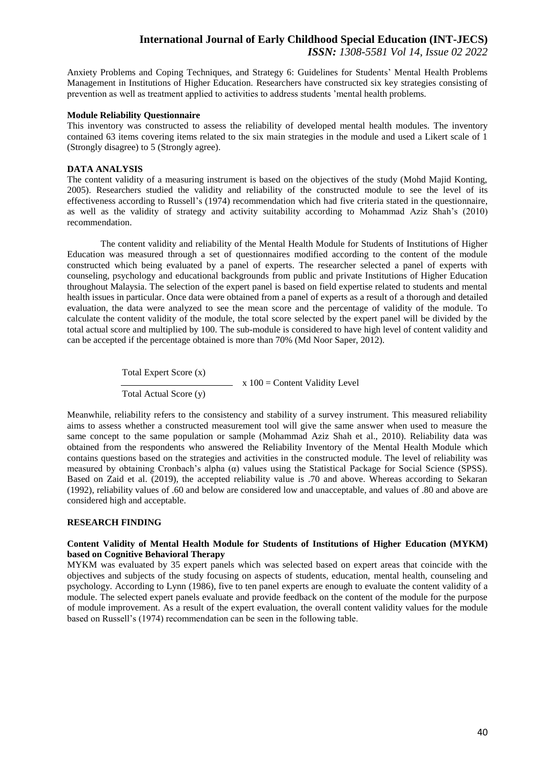Anxiety Problems and Coping Techniques, and Strategy 6: Guidelines for Students' Mental Health Problems Management in Institutions of Higher Education. Researchers have constructed six key strategies consisting of prevention as well as treatment applied to activities to address students 'mental health problems.

#### **Module Reliability Questionnaire**

This inventory was constructed to assess the reliability of developed mental health modules. The inventory contained 63 items covering items related to the six main strategies in the module and used a Likert scale of 1 (Strongly disagree) to 5 (Strongly agree).

#### **DATA ANALYSIS**

The content validity of a measuring instrument is based on the objectives of the study (Mohd Majid Konting, 2005). Researchers studied the validity and reliability of the constructed module to see the level of its effectiveness according to Russell's (1974) recommendation which had five criteria stated in the questionnaire, as well as the validity of strategy and activity suitability according to Mohammad Aziz Shah's (2010) recommendation.

The content validity and reliability of the Mental Health Module for Students of Institutions of Higher Education was measured through a set of questionnaires modified according to the content of the module constructed which being evaluated by a panel of experts. The researcher selected a panel of experts with counseling, psychology and educational backgrounds from public and private Institutions of Higher Education throughout Malaysia. The selection of the expert panel is based on field expertise related to students and mental health issues in particular. Once data were obtained from a panel of experts as a result of a thorough and detailed evaluation, the data were analyzed to see the mean score and the percentage of validity of the module. To calculate the content validity of the module, the total score selected by the expert panel will be divided by the total actual score and multiplied by 100. The sub-module is considered to have high level of content validity and can be accepted if the percentage obtained is more than 70% (Md Noor Saper, 2012).

> Total Expert Score (x) Total Actual Score (y)  $\therefore$  x 100 = Content Validity Level

Meanwhile, reliability refers to the consistency and stability of a survey instrument. This measured reliability aims to assess whether a constructed measurement tool will give the same answer when used to measure the same concept to the same population or sample (Mohammad Aziz Shah et al., 2010). Reliability data was obtained from the respondents who answered the Reliability Inventory of the Mental Health Module which contains questions based on the strategies and activities in the constructed module. The level of reliability was measured by obtaining Cronbach's alpha (α) values using the Statistical Package for Social Science (SPSS). Based on Zaid et al. (2019), the accepted reliability value is .70 and above. Whereas according to Sekaran (1992), reliability values of .60 and below are considered low and unacceptable, and values of .80 and above are considered high and acceptable.

#### **RESEARCH FINDING**

#### **Content Validity of Mental Health Module for Students of Institutions of Higher Education (MYKM) based on Cognitive Behavioral Therapy**

MYKM was evaluated by 35 expert panels which was selected based on expert areas that coincide with the objectives and subjects of the study focusing on aspects of students, education, mental health, counseling and psychology. According to Lynn (1986), five to ten panel experts are enough to evaluate the content validity of a module. The selected expert panels evaluate and provide feedback on the content of the module for the purpose of module improvement. As a result of the expert evaluation, the overall content validity values for the module based on Russell's (1974) recommendation can be seen in the following table.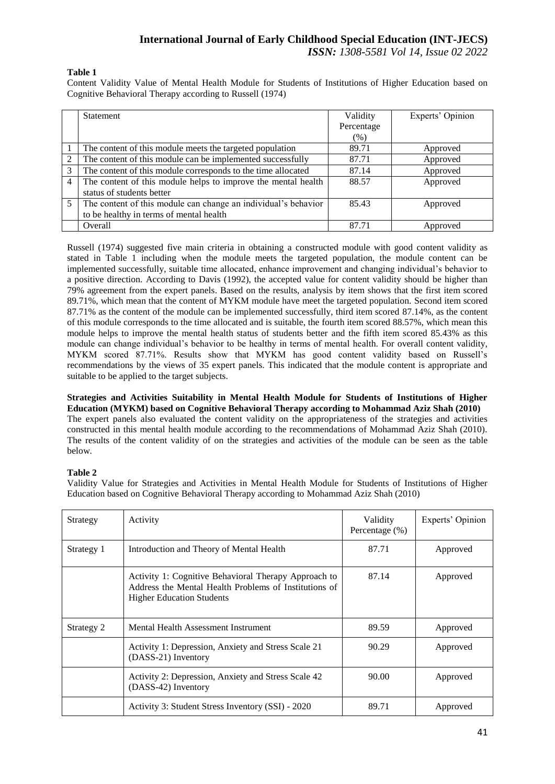#### **Table 1**

Content Validity Value of Mental Health Module for Students of Institutions of Higher Education based on Cognitive Behavioral Therapy according to Russell (1974)

|   | Statement                                                      | Validity   | Experts' Opinion |
|---|----------------------------------------------------------------|------------|------------------|
|   |                                                                | Percentage |                  |
|   |                                                                | (% )       |                  |
|   | The content of this module meets the targeted population       | 89.71      | Approved         |
| 2 | The content of this module can be implemented successfully     | 87.71      | Approved         |
| 3 | The content of this module corresponds to the time allocated   | 87.14      | Approved         |
| 4 | The content of this module helps to improve the mental health  | 88.57      | Approved         |
|   | status of students better                                      |            |                  |
| 5 | The content of this module can change an individual's behavior | 85.43      | Approved         |
|   | to be healthy in terms of mental health                        |            |                  |
|   | Overall                                                        | 87.71      | Approved         |

Russell (1974) suggested five main criteria in obtaining a constructed module with good content validity as stated in Table 1 including when the module meets the targeted population, the module content can be implemented successfully, suitable time allocated, enhance improvement and changing individual's behavior to a positive direction. According to Davis (1992), the accepted value for content validity should be higher than 79% agreement from the expert panels. Based on the results, analysis by item shows that the first item scored 89.71%, which mean that the content of MYKM module have meet the targeted population. Second item scored 87.71% as the content of the module can be implemented successfully, third item scored 87.14%, as the content of this module corresponds to the time allocated and is suitable, the fourth item scored 88.57%, which mean this module helps to improve the mental health status of students better and the fifth item scored 85.43% as this module can change individual's behavior to be healthy in terms of mental health. For overall content validity, MYKM scored 87.71%. Results show that MYKM has good content validity based on Russell's recommendations by the views of 35 expert panels. This indicated that the module content is appropriate and suitable to be applied to the target subjects.

**Strategies and Activities Suitability in Mental Health Module for Students of Institutions of Higher Education (MYKM) based on Cognitive Behavioral Therapy according to Mohammad Aziz Shah (2010)** The expert panels also evaluated the content validity on the appropriateness of the strategies and activities constructed in this mental health module according to the recommendations of Mohammad Aziz Shah (2010). The results of the content validity of on the strategies and activities of the module can be seen as the table below.

#### **Table 2**

Validity Value for Strategies and Activities in Mental Health Module for Students of Institutions of Higher Education based on Cognitive Behavioral Therapy according to Mohammad Aziz Shah (2010)

| Strategy   | Activity                                                                                                                                          | Validity<br>Percentage (%) | Experts' Opinion |
|------------|---------------------------------------------------------------------------------------------------------------------------------------------------|----------------------------|------------------|
| Strategy 1 | Introduction and Theory of Mental Health                                                                                                          | 87.71                      | Approved         |
|            | Activity 1: Cognitive Behavioral Therapy Approach to<br>Address the Mental Health Problems of Institutions of<br><b>Higher Education Students</b> | 87.14                      | Approved         |
| Strategy 2 | Mental Health Assessment Instrument                                                                                                               | 89.59                      | Approved         |
|            | Activity 1: Depression, Anxiety and Stress Scale 21<br>(DASS-21) Inventory                                                                        | 90.29                      | Approved         |
|            | Activity 2: Depression, Anxiety and Stress Scale 42<br>(DASS-42) Inventory                                                                        | 90.00                      | Approved         |
|            | Activity 3: Student Stress Inventory (SSI) - 2020                                                                                                 | 89.71                      | Approved         |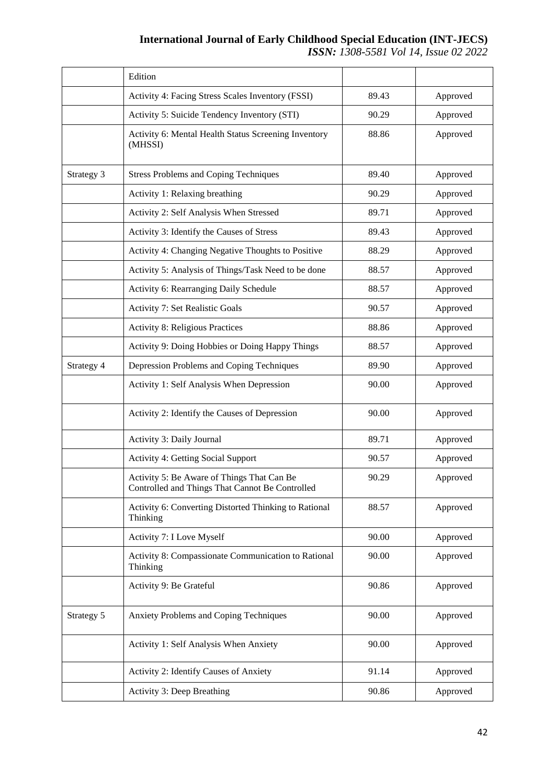## **International Journal of Early Childhood Special Education (INT-JECS)**

*ISSN: 1308-5581 Vol 14, Issue 02 2022*

|            | Edition                                                                                       |       |          |
|------------|-----------------------------------------------------------------------------------------------|-------|----------|
|            | Activity 4: Facing Stress Scales Inventory (FSSI)                                             | 89.43 | Approved |
|            | Activity 5: Suicide Tendency Inventory (STI)                                                  | 90.29 | Approved |
|            | Activity 6: Mental Health Status Screening Inventory<br>(MHSSI)                               | 88.86 | Approved |
| Strategy 3 | <b>Stress Problems and Coping Techniques</b>                                                  | 89.40 | Approved |
|            | Activity 1: Relaxing breathing                                                                | 90.29 | Approved |
|            | Activity 2: Self Analysis When Stressed                                                       | 89.71 | Approved |
|            | Activity 3: Identify the Causes of Stress                                                     | 89.43 | Approved |
|            | Activity 4: Changing Negative Thoughts to Positive                                            | 88.29 | Approved |
|            | Activity 5: Analysis of Things/Task Need to be done                                           | 88.57 | Approved |
|            | Activity 6: Rearranging Daily Schedule                                                        | 88.57 | Approved |
|            | Activity 7: Set Realistic Goals                                                               | 90.57 | Approved |
|            | <b>Activity 8: Religious Practices</b>                                                        | 88.86 | Approved |
|            | Activity 9: Doing Hobbies or Doing Happy Things                                               | 88.57 | Approved |
| Strategy 4 | Depression Problems and Coping Techniques                                                     | 89.90 | Approved |
|            | Activity 1: Self Analysis When Depression                                                     | 90.00 | Approved |
|            | Activity 2: Identify the Causes of Depression                                                 | 90.00 | Approved |
|            | Activity 3: Daily Journal                                                                     | 89.71 | Approved |
|            | Activity 4: Getting Social Support                                                            | 90.57 | Approved |
|            | Activity 5: Be Aware of Things That Can Be<br>Controlled and Things That Cannot Be Controlled | 90.29 | Approved |
|            | Activity 6: Converting Distorted Thinking to Rational<br>Thinking                             | 88.57 | Approved |
|            | Activity 7: I Love Myself                                                                     | 90.00 | Approved |
|            | Activity 8: Compassionate Communication to Rational<br>Thinking                               | 90.00 | Approved |
|            | Activity 9: Be Grateful                                                                       | 90.86 | Approved |
| Strategy 5 | Anxiety Problems and Coping Techniques                                                        | 90.00 | Approved |
|            | Activity 1: Self Analysis When Anxiety                                                        | 90.00 | Approved |
|            | Activity 2: Identify Causes of Anxiety                                                        | 91.14 | Approved |
|            | <b>Activity 3: Deep Breathing</b>                                                             | 90.86 | Approved |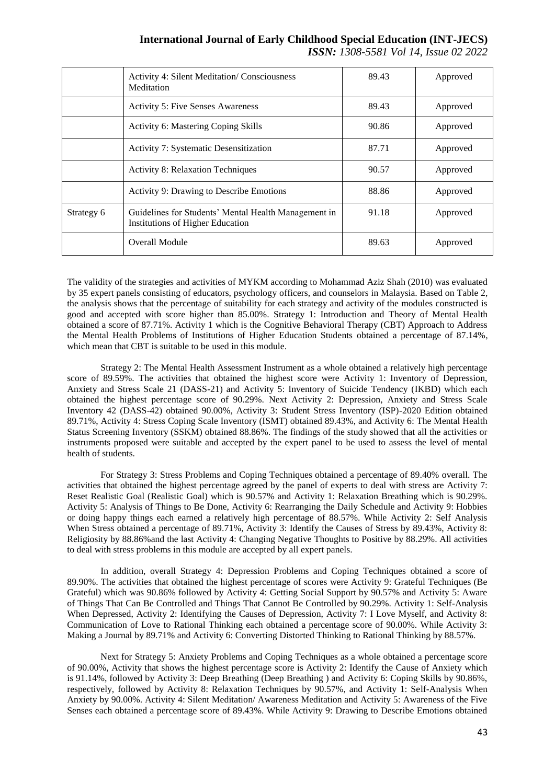|            | <b>Activity 4: Silent Meditation/ Consciousness</b><br>Meditation                               | 89.43 | Approved |
|------------|-------------------------------------------------------------------------------------------------|-------|----------|
|            | <b>Activity 5: Five Senses Awareness</b>                                                        | 89.43 | Approved |
|            | <b>Activity 6: Mastering Coping Skills</b>                                                      | 90.86 | Approved |
|            | Activity 7: Systematic Desensitization                                                          | 87.71 | Approved |
|            | <b>Activity 8: Relaxation Techniques</b>                                                        | 90.57 | Approved |
|            | Activity 9: Drawing to Describe Emotions                                                        | 88.86 | Approved |
| Strategy 6 | Guidelines for Students' Mental Health Management in<br><b>Institutions of Higher Education</b> | 91.18 | Approved |
|            | Overall Module                                                                                  | 89.63 | Approved |

The validity of the strategies and activities of MYKM according to Mohammad Aziz Shah (2010) was evaluated by 35 expert panels consisting of educators, psychology officers, and counselors in Malaysia. Based on Table 2, the analysis shows that the percentage of suitability for each strategy and activity of the modules constructed is good and accepted with score higher than 85.00%. Strategy 1: Introduction and Theory of Mental Health obtained a score of 87.71%. Activity 1 which is the Cognitive Behavioral Therapy (CBT) Approach to Address the Mental Health Problems of Institutions of Higher Education Students obtained a percentage of 87.14%, which mean that CBT is suitable to be used in this module.

Strategy 2: The Mental Health Assessment Instrument as a whole obtained a relatively high percentage score of 89.59%. The activities that obtained the highest score were Activity 1: Inventory of Depression, Anxiety and Stress Scale 21 (DASS-21) and Activity 5: Inventory of Suicide Tendency (IKBD) which each obtained the highest percentage score of 90.29%. Next Activity 2: Depression, Anxiety and Stress Scale Inventory 42 (DASS-42) obtained 90.00%, Activity 3: Student Stress Inventory (ISP)-2020 Edition obtained 89.71%, Activity 4: Stress Coping Scale Inventory (ISMT) obtained 89.43%, and Activity 6: The Mental Health Status Screening Inventory (SSKM) obtained 88.86%. The findings of the study showed that all the activities or instruments proposed were suitable and accepted by the expert panel to be used to assess the level of mental health of students.

For Strategy 3: Stress Problems and Coping Techniques obtained a percentage of 89.40% overall. The activities that obtained the highest percentage agreed by the panel of experts to deal with stress are Activity 7: Reset Realistic Goal (Realistic Goal) which is 90.57% and Activity 1: Relaxation Breathing which is 90.29%. Activity 5: Analysis of Things to Be Done, Activity 6: Rearranging the Daily Schedule and Activity 9: Hobbies or doing happy things each earned a relatively high percentage of 88.57%. While Activity 2: Self Analysis When Stress obtained a percentage of 89.71%, Activity 3: Identify the Causes of Stress by 89.43%, Activity 8: Religiosity by 88.86%and the last Activity 4: Changing Negative Thoughts to Positive by 88.29%. All activities to deal with stress problems in this module are accepted by all expert panels.

In addition, overall Strategy 4: Depression Problems and Coping Techniques obtained a score of 89.90%. The activities that obtained the highest percentage of scores were Activity 9: Grateful Techniques (Be Grateful) which was 90.86% followed by Activity 4: Getting Social Support by 90.57% and Activity 5: Aware of Things That Can Be Controlled and Things That Cannot Be Controlled by 90.29%. Activity 1: Self-Analysis When Depressed, Activity 2: Identifying the Causes of Depression, Activity 7: I Love Myself, and Activity 8: Communication of Love to Rational Thinking each obtained a percentage score of 90.00%. While Activity 3: Making a Journal by 89.71% and Activity 6: Converting Distorted Thinking to Rational Thinking by 88.57%.

Next for Strategy 5: Anxiety Problems and Coping Techniques as a whole obtained a percentage score of 90.00%, Activity that shows the highest percentage score is Activity 2: Identify the Cause of Anxiety which is 91.14%, followed by Activity 3: Deep Breathing (Deep Breathing ) and Activity 6: Coping Skills by 90.86%, respectively, followed by Activity 8: Relaxation Techniques by 90.57%, and Activity 1: Self-Analysis When Anxiety by 90.00%. Activity 4: Silent Meditation/ Awareness Meditation and Activity 5: Awareness of the Five Senses each obtained a percentage score of 89.43%. While Activity 9: Drawing to Describe Emotions obtained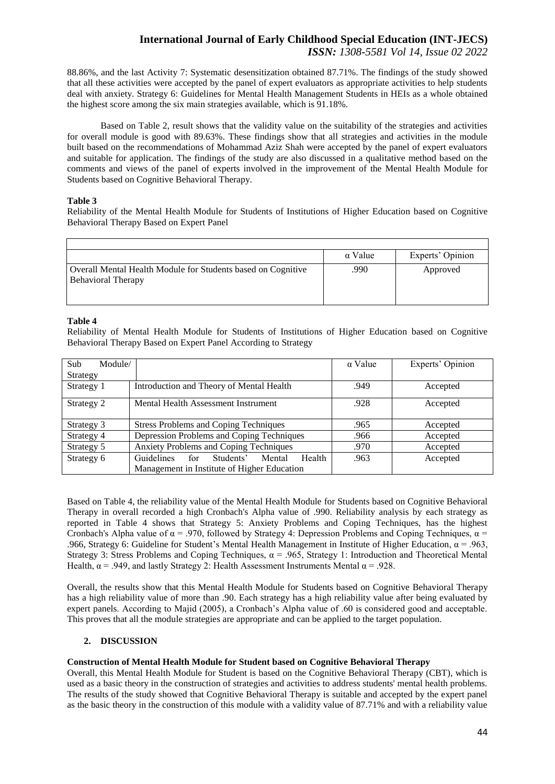88.86%, and the last Activity 7: Systematic desensitization obtained 87.71%. The findings of the study showed that all these activities were accepted by the panel of expert evaluators as appropriate activities to help students deal with anxiety. Strategy 6: Guidelines for Mental Health Management Students in HEIs as a whole obtained the highest score among the six main strategies available, which is 91.18%.

Based on Table 2, result shows that the validity value on the suitability of the strategies and activities for overall module is good with 89.63%. These findings show that all strategies and activities in the module built based on the recommendations of Mohammad Aziz Shah were accepted by the panel of expert evaluators and suitable for application. The findings of the study are also discussed in a qualitative method based on the comments and views of the panel of experts involved in the improvement of the Mental Health Module for Students based on Cognitive Behavioral Therapy.

#### **Table 3**

Reliability of the Mental Health Module for Students of Institutions of Higher Education based on Cognitive Behavioral Therapy Based on Expert Panel

|                                                                                           | $\alpha$ Value | Experts' Opinion |
|-------------------------------------------------------------------------------------------|----------------|------------------|
| Overall Mental Health Module for Students based on Cognitive<br><b>Behavioral Therapy</b> | .990           | Approved         |

#### **Table 4**

Reliability of Mental Health Module for Students of Institutions of Higher Education based on Cognitive Behavioral Therapy Based on Expert Panel According to Strategy

| Sub-<br>Module/<br>Strategy |                                                 | $\alpha$ Value | Experts' Opinion |
|-----------------------------|-------------------------------------------------|----------------|------------------|
| Strategy 1                  | Introduction and Theory of Mental Health        | .949           | Accepted         |
|                             |                                                 |                |                  |
| Strategy 2                  | Mental Health Assessment Instrument             | .928           | Accepted         |
|                             |                                                 |                |                  |
| Strategy 3                  | <b>Stress Problems and Coping Techniques</b>    | .965           | Accepted         |
| Strategy 4                  | Depression Problems and Coping Techniques       | .966           | Accepted         |
| Strategy 5                  | Anxiety Problems and Coping Techniques          | .970           | Accepted         |
| Strategy 6                  | Guidelines for<br>Students'<br>Mental<br>Health | .963           | Accepted         |
|                             | Management in Institute of Higher Education     |                |                  |

Based on Table 4, the reliability value of the Mental Health Module for Students based on Cognitive Behavioral Therapy in overall recorded a high Cronbach's Alpha value of .990. Reliability analysis by each strategy as reported in Table 4 shows that Strategy 5: Anxiety Problems and Coping Techniques, has the highest Cronbach's Alpha value of  $\alpha$  = .970, followed by Strategy 4: Depression Problems and Coping Techniques,  $\alpha$  = .966, Strategy 6: Guideline for Student's Mental Health Management in Institute of Higher Education,  $\alpha = 0.963$ , Strategy 3: Stress Problems and Coping Techniques,  $\alpha = .965$ , Strategy 1: Introduction and Theoretical Mental Health,  $\alpha$  = .949, and lastly Strategy 2: Health Assessment Instruments Mental  $\alpha$  = .928.

Overall, the results show that this Mental Health Module for Students based on Cognitive Behavioral Therapy has a high reliability value of more than .90. Each strategy has a high reliability value after being evaluated by expert panels. According to Majid (2005), a Cronbach's Alpha value of .60 is considered good and acceptable. This proves that all the module strategies are appropriate and can be applied to the target population.

## **2. DISCUSSION**

## **Construction of Mental Health Module for Student based on Cognitive Behavioral Therapy**

Overall, this Mental Health Module for Student is based on the Cognitive Behavioral Therapy (CBT), which is used as a basic theory in the construction of strategies and activities to address students' mental health problems. The results of the study showed that Cognitive Behavioral Therapy is suitable and accepted by the expert panel as the basic theory in the construction of this module with a validity value of 87.71% and with a reliability value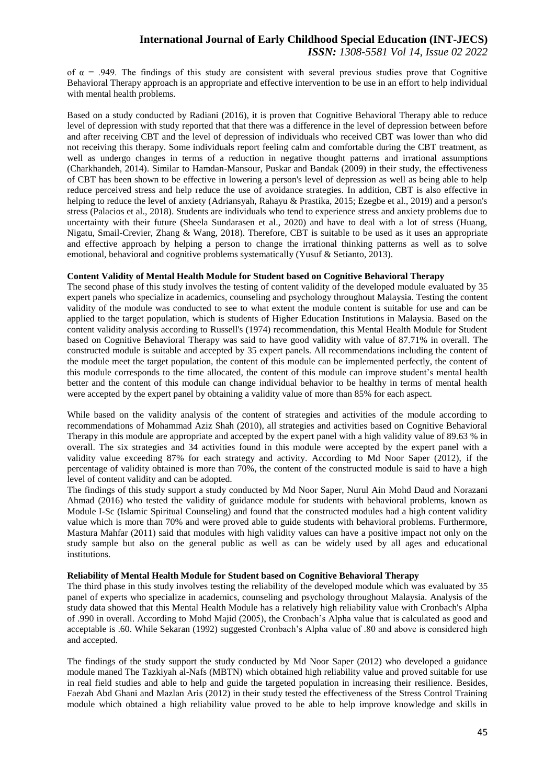of  $\alpha$  = .949. The findings of this study are consistent with several previous studies prove that Cognitive Behavioral Therapy approach is an appropriate and effective intervention to be use in an effort to help individual with mental health problems.

Based on a study conducted by Radiani (2016), it is proven that Cognitive Behavioral Therapy able to reduce level of depression with study reported that that there was a difference in the level of depression between before and after receiving CBT and the level of depression of individuals who received CBT was lower than who did not receiving this therapy. Some individuals report feeling calm and comfortable during the CBT treatment, as well as undergo changes in terms of a reduction in negative thought patterns and irrational assumptions (Charkhandeh, 2014). Similar to Hamdan-Mansour, Puskar and Bandak (2009) in their study, the effectiveness of CBT has been shown to be effective in lowering a person's level of depression as well as being able to help reduce perceived stress and help reduce the use of avoidance strategies. In addition, CBT is also effective in helping to reduce the level of anxiety (Adriansyah, Rahayu & Prastika, 2015; Ezegbe et al., 2019) and a person's stress (Palacios et al., 2018). Students are individuals who tend to experience stress and anxiety problems due to uncertainty with their future (Sheela Sundarasen et al., 2020) and have to deal with a lot of stress (Huang, Nigatu, Smail-Crevier, Zhang & Wang, 2018). Therefore, CBT is suitable to be used as it uses an appropriate and effective approach by helping a person to change the irrational thinking patterns as well as to solve emotional, behavioral and cognitive problems systematically (Yusuf & Setianto, 2013).

#### **Content Validity of Mental Health Module for Student based on Cognitive Behavioral Therapy**

The second phase of this study involves the testing of content validity of the developed module evaluated by 35 expert panels who specialize in academics, counseling and psychology throughout Malaysia. Testing the content validity of the module was conducted to see to what extent the module content is suitable for use and can be applied to the target population, which is students of Higher Education Institutions in Malaysia. Based on the content validity analysis according to Russell's (1974) recommendation, this Mental Health Module for Student based on Cognitive Behavioral Therapy was said to have good validity with value of 87.71% in overall. The constructed module is suitable and accepted by 35 expert panels. All recommendations including the content of the module meet the target population, the content of this module can be implemented perfectly, the content of this module corresponds to the time allocated, the content of this module can improve student's mental health better and the content of this module can change individual behavior to be healthy in terms of mental health were accepted by the expert panel by obtaining a validity value of more than 85% for each aspect.

While based on the validity analysis of the content of strategies and activities of the module according to recommendations of Mohammad Aziz Shah (2010), all strategies and activities based on Cognitive Behavioral Therapy in this module are appropriate and accepted by the expert panel with a high validity value of 89.63 % in overall. The six strategies and 34 activities found in this module were accepted by the expert panel with a validity value exceeding 87% for each strategy and activity. According to Md Noor Saper (2012), if the percentage of validity obtained is more than 70%, the content of the constructed module is said to have a high level of content validity and can be adopted.

The findings of this study support a study conducted by Md Noor Saper, Nurul Ain Mohd Daud and Norazani Ahmad (2016) who tested the validity of guidance module for students with behavioral problems, known as Module I-Sc (Islamic Spiritual Counseling) and found that the constructed modules had a high content validity value which is more than 70% and were proved able to guide students with behavioral problems. Furthermore, Mastura Mahfar (2011) said that modules with high validity values can have a positive impact not only on the study sample but also on the general public as well as can be widely used by all ages and educational institutions.

#### **Reliability of Mental Health Module for Student based on Cognitive Behavioral Therapy**

The third phase in this study involves testing the reliability of the developed module which was evaluated by 35 panel of experts who specialize in academics, counseling and psychology throughout Malaysia. Analysis of the study data showed that this Mental Health Module has a relatively high reliability value with Cronbach's Alpha of .990 in overall. According to Mohd Majid (2005), the Cronbach's Alpha value that is calculated as good and acceptable is .60. While Sekaran (1992) suggested Cronbach's Alpha value of .80 and above is considered high and accepted.

The findings of the study support the study conducted by Md Noor Saper (2012) who developed a guidance module maned The Tazkiyah al-Nafs (MBTN) which obtained high reliability value and proved suitable for use in real field studies and able to help and guide the targeted population in increasing their resilience. Besides, Faezah Abd Ghani and Mazlan Aris (2012) in their study tested the effectiveness of the Stress Control Training module which obtained a high reliability value proved to be able to help improve knowledge and skills in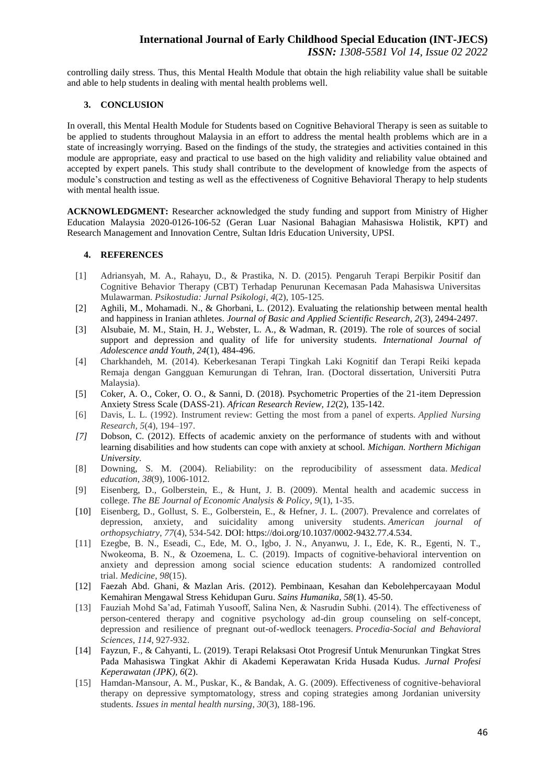controlling daily stress. Thus, this Mental Health Module that obtain the high reliability value shall be suitable and able to help students in dealing with mental health problems well.

#### **3. CONCLUSION**

In overall, this Mental Health Module for Students based on Cognitive Behavioral Therapy is seen as suitable to be applied to students throughout Malaysia in an effort to address the mental health problems which are in a state of increasingly worrying. Based on the findings of the study, the strategies and activities contained in this module are appropriate, easy and practical to use based on the high validity and reliability value obtained and accepted by expert panels. This study shall contribute to the development of knowledge from the aspects of module's construction and testing as well as the effectiveness of Cognitive Behavioral Therapy to help students with mental health issue.

**ACKNOWLEDGMENT:** Researcher acknowledged the study funding and support from Ministry of Higher Education Malaysia 2020-0126-106-52 (Geran Luar Nasional Bahagian Mahasiswa Holistik, KPT) and Research Management and Innovation Centre, Sultan Idris Education University, UPSI.

#### **4. REFERENCES**

- [1] Adriansyah, M. A., Rahayu, D., & Prastika, N. D. (2015). Pengaruh Terapi Berpikir Positif dan Cognitive Behavior Therapy (CBT) Terhadap Penurunan Kecemasan Pada Mahasiswa Universitas Mulawarman. *Psikostudia: Jurnal Psikologi*, *4*(2), 105-125.
- [2] Aghili, M., Mohamadi. N., & Ghorbani, L. (2012). Evaluating the relationship between mental health and happiness in Iranian athletes. *Journal of Basic and Applied Scientific Research, 2*(3), 2494-2497.
- [3] Alsubaie, M. M., Stain, H. J., Webster, L. A., & Wadman, R. (2019). The role of sources of social support and depression and quality of life for university students. *International Journal of Adolescence andd Youth, 24*(1), 484-496.
- [4] Charkhandeh, M. (2014). Keberkesanan Terapi Tingkah Laki Kognitif dan Terapi Reiki kepada Remaja dengan Gangguan Kemurungan di Tehran, Iran. (Doctoral dissertation, Universiti Putra Malaysia).
- [5] Coker, A. O., Coker, O. O., & Sanni, D. (2018). Psychometric Properties of the 21-item Depression Anxiety Stress Scale (DASS-21). *African Research Review, 12*(2), 135-142.
- [6] Davis, L. L. (1992). Instrument review: Getting the most from a panel of experts. *Applied Nursing Research, 5*(4), 194–197.
- *[7]* Dobson, C. (2012). Effects of academic anxiety on the performance of students with and without learning disabilities and how students can cope with anxiety at school. *Michigan. Northern Michigan University.*
- [8] Downing, S. M. (2004). Reliability: on the reproducibility of assessment data. *Medical education*, *38*(9), 1006-1012.
- [9] Eisenberg, D., Golberstein, E., & Hunt, J. B. (2009). Mental health and academic success in college. *The BE Journal of Economic Analysis & Policy*, *9*(1), 1-35.
- [10] Eisenberg, D., Gollust, S. E., Golberstein, E., & Hefner, J. L. (2007). Prevalence and correlates of depression, anxiety, and suicidality among university students. *American journal of orthopsychiatry*, *77*(4), 534-542. DOI: https://doi.org/10.1037/0002-9432.77.4.534.
- [11] Ezegbe, B. N., Eseadi, C., Ede, M. O., Igbo, J. N., Anyanwu, J. I., Ede, K. R., Egenti, N. T., Nwokeoma, B. N., & Ozoemena, L. C. (2019). Impacts of cognitive-behavioral intervention on anxiety and depression among social science education students: A randomized controlled trial. *Medicine*, *98*(15).
- [12] Faezah Abd. Ghani, & Mazlan Aris. (2012). Pembinaan, Kesahan dan Kebolehpercayaan Modul Kemahiran Mengawal Stress Kehidupan Guru. *Sains Humanika, 58*(1). 45-50.
- [13] Fauziah Mohd Sa'ad, Fatimah Yusooff, Salina Nen, & Nasrudin Subhi. (2014). The effectiveness of person-centered therapy and cognitive psychology ad-din group counseling on self-concept, depression and resilience of pregnant out-of-wedlock teenagers. *Procedia-Social and Behavioral Sciences*, *114*, 927-932.
- [14] Fayzun, F., & Cahyanti, L. (2019). Terapi Relaksasi Otot Progresif Untuk Menurunkan Tingkat Stres Pada Mahasiswa Tingkat Akhir di Akademi Keperawatan Krida Husada Kudus. *Jurnal Profesi Keperawatan (JPK), 6*(2).
- [15] Hamdan-Mansour, A. M., Puskar, K., & Bandak, A. G. (2009). Effectiveness of cognitive-behavioral therapy on depressive symptomatology, stress and coping strategies among Jordanian university students. *Issues in mental health nursing*, *30*(3), 188-196.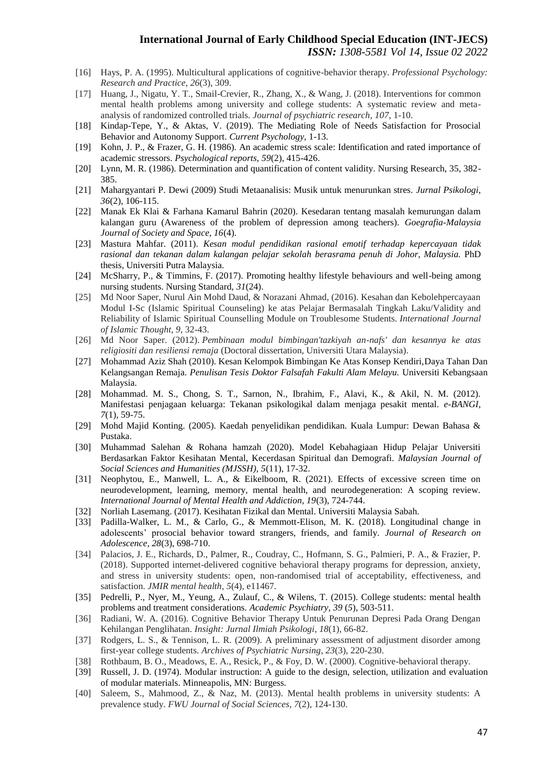- [16] Hays, P. A. (1995). Multicultural applications of cognitive-behavior therapy. *Professional Psychology: Research and Practice*, *26*(3), 309.
- [17] Huang, J., Nigatu, Y. T., Smail-Crevier, R., Zhang, X., & Wang, J. (2018). Interventions for common mental health problems among university and college students: A systematic review and metaanalysis of randomized controlled trials. *Journal of psychiatric research*, *107*, 1-10.
- [18] Kindap-Tepe, Y., & Aktas, V. (2019). The Mediating Role of Needs Satisfaction for Prosocial Behavior and Autonomy Support. *Current Psychology,* 1-13.
- [19] Kohn, J. P., & Frazer, G. H. (1986). An academic stress scale: Identification and rated importance of academic stressors. *Psychological reports, 59*(2), 415-426.
- [20] Lynn, M. R. (1986). Determination and quantification of content validity. Nursing Research, 35, 382- 385.
- [21] Mahargyantari P. Dewi (2009) Studi Metaanalisis: Musik untuk menurunkan stres. *Jurnal Psikologi, 36*(2), 106-115.
- [22] Manak Ek Klai & Farhana Kamarul Bahrin (2020). Kesedaran tentang masalah kemurungan dalam kalangan guru (Awareness of the problem of depression among teachers). *Goegrafia-Malaysia Journal of Society and Space, 16*(4).
- [23] Mastura Mahfar. (2011). *Kesan modul pendidikan rasional emotif terhadap kepercayaan tidak rasional dan tekanan dalam kalangan pelajar sekolah berasrama penuh di Johor, Malaysia.* PhD thesis, Universiti Putra Malaysia.
- [24] McSharry, P., & Timmins, F. (2017). Promoting healthy lifestyle behaviours and well-being among nursing students. Nursing Standard, *31*(24).
- [25] Md Noor Saper, Nurul Ain Mohd Daud, & Norazani Ahmad, (2016). Kesahan dan Kebolehpercayaan Modul I-Sc (Islamic Spiritual Counseling) ke atas Pelajar Bermasalah Tingkah Laku/Validity and Reliability of Islamic Spiritual Counselling Module on Troublesome Students. *International Journal of Islamic Thought*, *9*, 32-43.
- [26] Md Noor Saper. (2012). *Pembinaan modul bimbingan'tazkiyah an-nafs' dan kesannya ke atas religiositi dan resiliensi remaja* (Doctoral dissertation, Universiti Utara Malaysia).
- [27] Mohammad Aziz Shah (2010). Kesan Kelompok Bimbingan Ke Atas Konsep Kendiri,Daya Tahan Dan Kelangsangan Remaja. *Penulisan Tesis Doktor Falsafah Fakulti Alam Melayu.* Universiti Kebangsaan Malaysia.
- [28] Mohammad. M. S., Chong, S. T., Sarnon, N., Ibrahim, F., Alavi, K., & Akil, N. M. (2012). Manifestasi penjagaan keluarga: Tekanan psikologikal dalam menjaga pesakit mental. *e-BANGI, 7*(1), 59-75.
- [29] Mohd Majid Konting. (2005). Kaedah penyelidikan pendidikan. Kuala Lumpur: Dewan Bahasa & Pustaka.
- [30] Muhammad Salehan & Rohana hamzah (2020). Model Kebahagiaan Hidup Pelajar Universiti Berdasarkan Faktor Kesihatan Mental, Kecerdasan Spiritual dan Demografi. *Malaysian Journal of Social Sciences and Humanities (MJSSH), 5*(11), 17-32.
- [31] Neophytou, E., Manwell, L. A., & Eikelboom, R. (2021). Effects of excessive screen time on neurodevelopment, learning, memory, mental health, and neurodegeneration: A scoping review. *International Journal of Mental Health and Addiction, 19*(3), 724-744.
- [32] Norliah Lasemang. (2017). Kesihatan Fizikal dan Mental. Universiti Malaysia Sabah.
- [33] Padilla-Walker, L. M., & Carlo, G., & Memmott-Elison, M. K. (2018). Longitudinal change in adolescents' prosocial behavior toward strangers, friends, and family. *Journal of Research on Adolescence, 28*(3), 698-710.
- [34] Palacios, J. E., Richards, D., Palmer, R., Coudray, C., Hofmann, S. G., Palmieri, P. A., & Frazier, P. (2018). Supported internet-delivered cognitive behavioral therapy programs for depression, anxiety, and stress in university students: open, non-randomised trial of acceptability, effectiveness, and satisfaction. *JMIR mental health*, *5*(4), e11467.
- [35] Pedrelli, P., Nyer, M., Yeung, A., Zulauf, C., & Wilens, T. (2015). College students: mental health problems and treatment considerations. *Academic Psychiatry, 39* (*5*), 503-511.
- [36] Radiani, W. A. (2016). Cognitive Behavior Therapy Untuk Penurunan Depresi Pada Orang Dengan Kehilangan Penglihatan. *Insight: Jurnal Ilmiah Psikologi*, *18*(1), 66-82.
- [37] Rodgers, L. S., & Tennison, L. R. (2009). A preliminary assessment of adjustment disorder among first-year college students. *Archives of Psychiatric Nursing*, *23*(3), 220-230.
- [38] Rothbaum, B. O., Meadows, E. A., Resick, P., & Foy, D. W. (2000). Cognitive-behavioral therapy.
- [39] Russell, J. D. (1974). Modular instruction: A guide to the design, selection, utilization and evaluation of modular materials. Minneapolis, MN: Burgess.
- [40] Saleem, S., Mahmood, Z., & Naz, M. (2013). Mental health problems in university students: A prevalence study. *FWU Journal of Social Sciences*, *7*(2), 124-130.